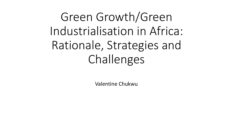Green Growth/Green Industrialisation in Africa: Rationale, Strategies and Challenges

Valentine Chukwu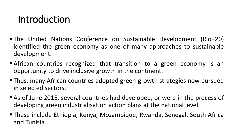## Introduction

- The United Nations Conference on Sustainable Development (Rio+20) identified the green economy as one of many approaches to sustainable development.
- **Example 2** African countries recognized that transition to a green economy is an opportunity to drive inclusive growth in the continent.
- Thus, many African countries adopted green-growth strategies now pursued in selected sectors.
- As of June 2015, several countries had developed, or were in the process of developing green industrialisation action plans at the national level.
- These include Ethiopia, Kenya, Mozambique, Rwanda, Senegal, South Africa and Tunisia.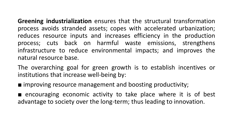**Greening industrialization** ensures that the structural transformation process avoids stranded assets; copes with accelerated urbanization; reduces resource inputs and increases efficiency in the production process; cuts back on harmful waste emissions, strengthens infrastructure to reduce environmental impacts; and improves the natural resource base.

The overarching goal for green growth is to establish incentives or institutions that increase well-being by:

■ improving resource management and boosting productivity;

■ encouraging economic activity to take place where it is of best advantage to society over the long-term; thus leading to innovation.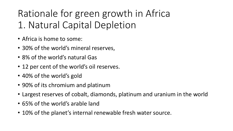# Rationale for green growth in Africa 1. Natural Capital Depletion

- Africa is home to some:
- 30% of the world's mineral reserves,
- 8% of the world's natural Gas
- 12 per cent of the world's oil reserves.
- 40% of the world's gold
- 90% of its chromium and platinum
- Largest reserves of cobalt, diamonds, platinum and uranium in the world
- 65% of the world's arable land
- 10% of the planet's internal renewable fresh water source.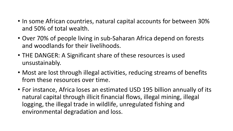- In some African countries, natural capital accounts for between 30% and 50% of total wealth.
- Over 70% of people living in sub-Saharan Africa depend on forests and woodlands for their livelihoods.
- THE DANGER: A Significant share of these resources is used unsustainably.
- Most are lost through illegal activities, reducing streams of benefits from these resources over time.
- For instance, Africa loses an estimated USD 195 billion annually of its natural capital through illicit financial flows, illegal mining, illegal logging, the illegal trade in wildlife, unregulated fishing and environmental degradation and loss.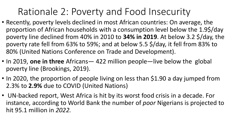# Rationale 2: Poverty and Food Insecurity

- Recently, poverty levels declined in most African countries: On average, the proportion of African households with a consumption level below the 1.9\$/day poverty line declined from 40% in 2010 to **34% in 2019**. At below 3.2 \$/day, the poverty rate fell from 63% to 59%; and at below 5.5 \$/day, it fell from 83% to 80% (United Nations Conference on Trade and Development).
- In 2019, **one in three** Africans— 422 million people—live below the global poverty line (Brookings, 2019).
- In 2020, the proportion of people living on less than \$1.90 a day jumped from 2.3% to **2.9%** due to COVID (United Nations)
- UN-backed report, West Africa is hit by its worst food crisis in a decade. For instance, according to World Bank the number of *poor* Nigerians is projected to hit 95.1 million in *2022.*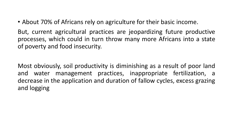• About 70% of Africans rely on agriculture for their basic income.

But, current agricultural practices are jeopardizing future productive processes, which could in turn throw many more Africans into a state of poverty and food insecurity.

Most obviously, soil productivity is diminishing as a result of poor land and water management practices, inappropriate fertilization, a decrease in the application and duration of fallow cycles, excess grazing and logging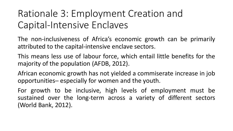# Rationale 3: Employment Creation and Capital-Intensive Enclaves

The non-inclusiveness of Africa's economic growth can be primarily attributed to the capital-intensive enclave sectors.

This means less use of labour force, which entail little benefits for the majority of the population (AFDB, 2012).

African economic growth has not yielded a commiserate increase in job opportunities─ especially for women and the youth.

For growth to be inclusive, high levels of employment must be sustained over the long-term across a variety of different sectors (World Bank, 2012).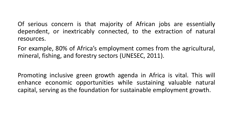Of serious concern is that majority of African jobs are essentially dependent, or inextricably connected, to the extraction of natural resources.

For example, 80% of Africa's employment comes from the agricultural, mineral, fishing, and forestry sectors (UNESEC, 2011).

Promoting inclusive green growth agenda in Africa is vital. This will enhance economic opportunities while sustaining valuable natural capital, serving as the foundation for sustainable employment growth.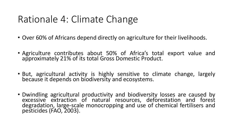## Rationale 4: Climate Change

- Over 60% of Africans depend directly on agriculture for their livelihoods.
- Agriculture contributes about 50% of Africa's total export value and approximately 21% of its total Gross Domestic Product.
- But, agricultural activity is highly sensitive to climate change, largely because it depends on biodiversity and ecosystems.
- Dwindling agricultural productivity and biodiversity losses are caused by excessive extraction of natural resources, deforestation and forest degradation, large-scale monocropping and use of chemical fertilisers and pesticides (FAO, 2003).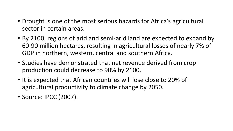- Drought is one of the most serious hazards for Africa's agricultural sector in certain areas.
- By 2100, regions of arid and semi-arid land are expected to expand by 60-90 million hectares, resulting in agricultural losses of nearly 7% of GDP in northern, western, central and southern Africa.
- Studies have demonstrated that net revenue derived from crop production could decrease to 90% by 2100.
- It is expected that African countries will lose close to 20% of agricultural productivity to climate change by 2050.
- Source: IPCC (2007).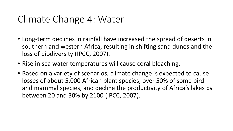### Climate Change 4: Water

- Long-term declines in rainfall have increased the spread of deserts in southern and western Africa, resulting in shifting sand dunes and the loss of biodiversity (IPCC, 2007).
- Rise in sea water temperatures will cause coral bleaching.
- Based on a variety of scenarios, climate change is expected to cause losses of about 5,000 African plant species, over 50% of some bird and mammal species, and decline the productivity of Africa's lakes by between 20 and 30% by 2100 (IPCC, 2007).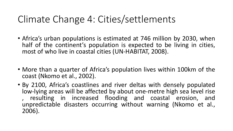## Climate Change 4: Cities/settlements

- Africa's urban populations is estimated at 746 million by 2030, when half of the continent's population is expected to be living in cities, most of who live in coastal cities (UN-HABITAT, 2008).
- More than a quarter of Africa's population lives within 100km of the coast (Nkomo et al., 2002).
- By 2100, Africa's coastlines and river deltas with densely populated low-lying areas will be affected by about one-metre high sea level rise , resulting in increased flooding and coastal erosion, and unpredictable disasters occurring without warning (Nkomo et al., 2006).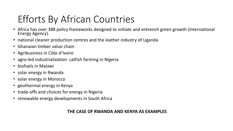# Efforts By African Countries

- Africa has over 388 policy frameworks designed to initiate and entrench green growth (International Energy Agency).
- national cleaner production centres and the leather industry of Uganda
- Ghanaian timber value chain
- Agribusiness in Côte d'Ivoire
- agro-led industrialization: catfish farming in Nigeria
- biofuels in Malawi
- solar energy in Rwanda
- solar energy in Morocco
- geothermal energy in Kenya
- trade-offs and choices for energy in Nigeria
- renewable energy developments in South Africa

#### **THE CASE OF RWANDA AND KENYA AS EXAMPLES**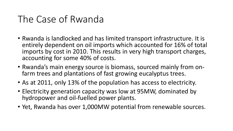## The Case of Rwanda

- Rwanda is landlocked and has limited transport infrastructure. It is entirely dependent on oil imports which accounted for 16% of total imports by cost in 2010. This results in very high transport charges, accounting for some 40% of costs.
- Rwanda's main energy source is biomass, sourced mainly from onfarm trees and plantations of fast growing eucalyptus trees.
- As at 2011, only 13% of the population has access to electricity.
- Electricity generation capacity was low at 95MW, dominated by hydropower and oil-fuelled power plants.
- Yet, Rwanda has over 1,000MW potential from renewable sources.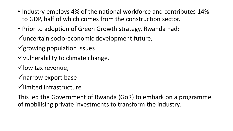- Industry employs 4% of the national workforce and contributes 14% to GDP, half of which comes from the construction sector.
- Prior to adoption of Green Growth strategy, Rwanda had:
- ✓uncertain socio-economic development future,
- $\checkmark$  growing population issues
- $\checkmark$  vulnerability to climate change,
- $\checkmark$  low tax revenue,
- $\checkmark$  narrow export base
- ✓limited infrastructure
- This led the Government of Rwanda (GoR) to embark on a programme of mobilising private investments to transform the industry.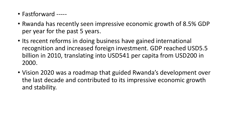- Fastforward -----
- Rwanda has recently seen impressive economic growth of 8.5% GDP per year for the past 5 years.
- Its recent reforms in doing business have gained international recognition and increased foreign investment. GDP reached USD5.5 billion in 2010, translating into USD541 per capita from USD200 in 2000.
- Vision 2020 was a roadmap that guided Rwanda's development over the last decade and contributed to its impressive economic growth and stability.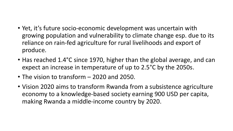- Yet, it's future socio-economic development was uncertain with growing population and vulnerability to climate change esp. due to its reliance on rain-fed agriculture for rural livelihoods and export of produce.
- Has reached 1.4°C since 1970, higher than the global average, and can expect an increase in temperature of up to 2.5°C by the 2050s.
- The vision to transform 2020 and 2050.
- Vision 2020 aims to transform Rwanda from a subsistence agriculture economy to a knowledge-based society earning 900 USD per capita, making Rwanda a middle-income country by 2020.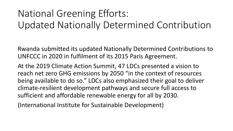# National Greening Efforts: Updated Nationally Determined Contribution

Rwanda submitted its updated Nationally Determined Contributions to UNFCCC in 2020 in fulfilment of its 2015 Paris Agreement.

At the 2019 Climate Action Summit, 47 LDCs presented a vision to reach net zero GHG emissions by 2050 "in the context of resources being available to do so." LDCs also emphasized their goal to deliver climate-resilient development pathways and secure full access to sufficient and affordable renewable energy for all by 2030.

(International Institute for Sustainable Development)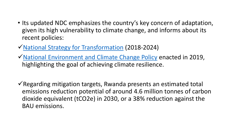- Its updated NDC emphasizes the country's key concern of adaptation, given its high vulnerability to climate change, and informs about its recent policies:
- ✓[National Strategy for Transformation](http://www.minecofin.gov.rw/fileadmin/user_upload/MINECOFIN_Documents/NST_A5_booklet_final_2.04.19_WEB.pdf) (2018-2024)
- ✓[National Environment and Climate Change Policy](http://www.fonerwa.org/sites/default/files/Rwanda%20National%20Environment%20and%20Climate%20Change%20Policy%202019.pdf) enacted in 2019, highlighting the goal of achieving climate resilience.
- $\checkmark$  Regarding mitigation targets, Rwanda presents an estimated total emissions reduction potential of around 4.6 million tonnes of carbon dioxide equivalent (tCO2e) in 2030, or a 38% reduction against the BAU emissions.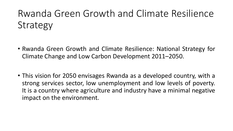# Rwanda Green Growth and Climate Resilience Strategy

- Rwanda Green Growth and Climate Resilience: National Strategy for Climate Change and Low Carbon Development 2011–2050.
- This vision for 2050 envisages Rwanda as a developed country, with a strong services sector, low unemployment and low levels of poverty. It is a country where agriculture and industry have a minimal negative impact on the environment.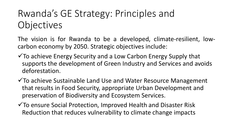# Rwanda's GE Strategy: Principles and Objectives

The vision is for Rwanda to be a developed, climate-resilient, lowcarbon economy by 2050. Strategic objectives include:

- $\checkmark$  To achieve Energy Security and a Low Carbon Energy Supply that supports the development of Green Industry and Services and avoids deforestation.
- ✓To achieve Sustainable Land Use and Water Resource Management that results in Food Security, appropriate Urban Development and preservation of Biodiversity and Ecosystem Services.
- ✓To ensure Social Protection, Improved Health and Disaster Risk Reduction that reduces vulnerability to climate change impacts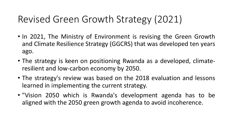# Revised Green Growth Strategy (2021)

- In 2021, The Ministry of Environment is revising the Green Growth and Climate Resilience Strategy (GGCRS) that was developed ten years ago.
- The strategy is keen on positioning Rwanda as a developed, climateresilient and low-carbon economy by 2050.
- The strategy's review was based on the 2018 evaluation and lessons learned in implementing the current strategy.
- "Vision 2050 which is Rwanda's development agenda has to be aligned with the 2050 green growth agenda to avoid incoherence.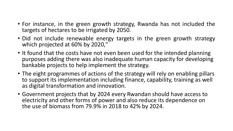- For instance, in the green growth strategy, Rwanda has not included the targets of hectares to be irrigated by 2050.
- Did not include renewable energy targets in the green growth strategy which projected at 60% by 2020,"
- It found that the costs have not even been used for the intended planning purposes adding there was also inadequate human capacity for developing bankable projects to help implement the strategy.
- The eight programmes of actions of the strategy will rely on enabling pillars to support its implementation including finance, capability, training as well as digital transformation and innovation.
- Government projects that by 2024 every Rwandan should have access to electricity and other forms of power and also reduce its dependence on the use of biomass from 79.9% in 2018 to 42% by 2024.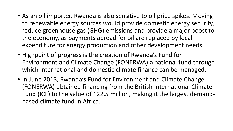- As an oil importer, Rwanda is also sensitive to oil price spikes. Moving to renewable energy sources would provide domestic energy security, reduce greenhouse gas (GHG) emissions and provide a major boost to the economy, as payments abroad for oil are replaced by local expenditure for energy production and other development needs
- Highpoint of progress is the creation of Rwanda's Fund for Environment and Climate Change (FONERWA) a national fund through which international and domestic climate finance can be managed.
- In June 2013, Rwanda's Fund for Environment and Climate Change (FONERWA) obtained financing from the British International Climate Fund (ICF) to the value of £22.5 million, making it the largest demandbased climate fund in Africa.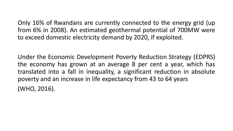Only 16% of Rwandans are currently connected to the energy grid (up from 6% in 2008). An estimated geothermal potential of 700MW were to exceed domestic electricity demand by 2020, if exploited.

Under the Economic Development Poverty Reduction Strategy (EDPRS) the economy has grown at an average 8 per cent a year, which has translated into a fall in inequality, a significant reduction in absolute poverty and an increase in life expectancy from 43 to 64 years (WHO, 2016).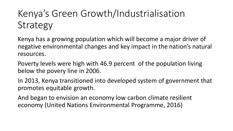# Kenya's Green Growth/Industrialisation **Strategy**

Kenya has a growing population which will become a major driver of negative environmental changes and key impact in the nation's natural resources.

Poverty levels were high with 46.9 percent of the population living below the povery line in 2006.

In 2013, Kenya transitioned into developed system of government that promotes equitable growth.

And began to envision an economy low carbon climate resilient economy (United Nations Environmental Programme, 2016)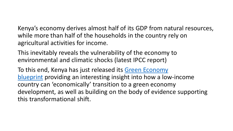Kenya's economy derives almost half of its GDP from natural resources, while more than half of the households in the country rely on agricultural activities for income.

This inevitably reveals the vulnerability of the economy to environmental and climatic shocks (latest IPCC report)

To this end, Kenya has just released its Green Economy blueprint [providing an interesting insight into how a low](http://unep.org/greeneconomy/)-income country can 'economically' transition to a green economy development, as well as building on the body of evidence supporting this transformational shift.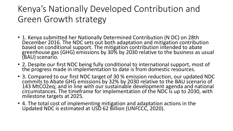### Kenya's Nationally Developed Contribution and Green Growth strategy

- 1. Kenya submitted her Nationally Determined Contribution (N DC) on 28th December 2016. The NDC sets out both adaptation and mitigation contribution based on conditional support. The mitigation contribution intended to abate greenhouse gas (GHG) emissions by 30% by 2030 relative to the business as usual (BAU) scenario.
- 2. Despite our first NDC being fully conditional to international support, most of the progress made in implementation to date is from domestic resources.
- 3. Compared to our first NDC target of 30 % emission reduction, our updated NDC commits to Abate GHG emissions by 32% by 2030 relative to the BAU scenario of 143 MtCO2eq; and in line with our sustainable development agenda and national circumstances. The timeframe for implementation of the NDC is up to 2030, with milestone targets at 2025.
- 4. The total cost of implementing mitigation and adaptation actions in the Updated NDC is estimated at USD 62 Billion (UNFCCC, 2020).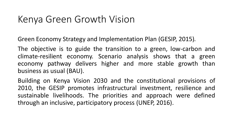#### Kenya Green Growth Vision

Green Economy Strategy and Implementation Plan (GESIP, 2015)*.*

The objective is to guide the transition to a green, low-carbon and climate-resilient economy. Scenario analysis shows that a green economy pathway delivers higher and more stable growth than business as usual (BAU).

Building on Kenya Vision 2030 and the constitutional provisions of 2010, the GESIP promotes infrastructural investment, resilience and sustainable livelihoods. The priorities and approach were defined through an inclusive, participatory process (UNEP, 2016).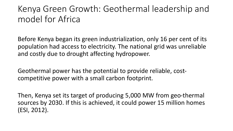#### Kenya Green Growth: Geothermal leadership and model for Africa

Before Kenya began its green industrialization, only 16 per cent of its population had access to electricity. The national grid was unreliable and costly due to drought affecting hydropower.

Geothermal power has the potential to provide reliable, costcompetitive power with a small carbon footprint.

Then, Kenya set its target of producing 5,000 MW from geo-thermal sources by 2030. If this is achieved, it could power 15 million homes (ESI, 2012).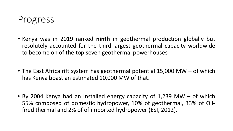#### Progress

- Kenya was in 2019 ranked **ninth** in geothermal production globally but resolutely accounted for the third-largest geothermal capacity worldwide to become on of the top seven geothermal powerhouses
- The East Africa rift system has geothermal potential 15,000 MW of which has Kenya boast an estimated 10,000 MW of that.
- By 2004 Kenya had an Installed energy capacity of 1,239 MW of which 55% composed of domestic hydropower, 10% of geothermal, 33% of Oilfired thermal and 2% of of imported hydropower (ESI, 2012).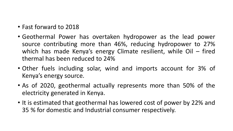- Fast forward to 2018
- Geothermal Power has overtaken hydropower as the lead power source contributing more than 46%, reducing hydropower to 27% which has made Kenya's energy Climate resilient, while Oil – fired thermal has been reduced to 24%
- Other fuels including solar, wind and imports account for 3% of Kenya's energy source.
- As of 2020, geothermal actually represents more than 50% of the electricity generated in Kenya.
- It is estimated that geothermal has lowered cost of power by 22% and 35 % for domestic and Industrial consumer respectively.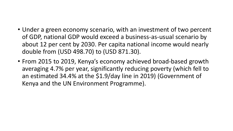- Under a green economy scenario, with an investment of two percent of GDP, national GDP would exceed a business-as-usual scenario by about 12 per cent by 2030. Per capita national income would nearly double from (USD 498.70) to (USD 871.30).
- From 2015 to 2019, Kenya's economy achieved broad-based growth averaging 4.7% per year, significantly reducing poverty (which fell to an estimated 34.4% at the \$1.9/day line in 2019) (Government of Kenya and the UN Environment Programme).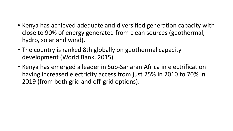- Kenya has achieved adequate and diversified generation capacity with close to 90% of energy generated from clean sources (geothermal, hydro, solar and wind).
- The country is ranked 8th globally on geothermal capacity development (World Bank, 2015).
- Kenya has emerged a leader in Sub-Saharan Africa in electrification having increased electricity access from just 25% in 2010 to 70% in 2019 (from both grid and off-grid options).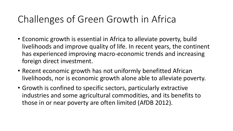## Challenges of Green Growth in Africa

- Economic growth is essential in Africa to alleviate poverty, build livelihoods and improve quality of life. In recent years, the continent has experienced improving macro-economic trends and increasing foreign direct investment.
- Recent economic growth has not uniformly benefitted African livelihoods, nor is economic growth alone able to alleviate poverty.
- Growth is confined to specific sectors, particularly extractive industries and some agricultural commodities, and its benefits to those in or near poverty are often limited (AfDB 2012).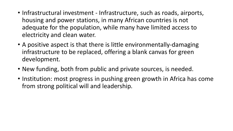- Infrastructural investment Infrastructure, such as roads, airports, housing and power stations, in many African countries is not adequate for the population, while many have limited access to electricity and clean water.
- A positive aspect is that there is little environmentally-damaging infrastructure to be replaced, offering a blank canvas for green development.
- New funding, both from public and private sources, is needed.
- Institution: most progress in pushing green growth in Africa has come from strong political will and leadership.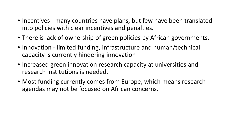- Incentives many countries have plans, but few have been translated into policies with clear incentives and penalties.
- There is lack of ownership of green policies by African governments.
- Innovation limited funding, infrastructure and human/technical capacity is currently hindering innovation
- Increased green innovation research capacity at universities and research institutions is needed.
- Most funding currently comes from Europe, which means research agendas may not be focused on African concerns.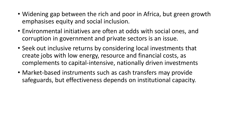- Widening gap between the rich and poor in Africa, but green growth emphasises equity and social inclusion.
- Environmental initiatives are often at odds with social ones, and corruption in government and private sectors is an issue.
- Seek out inclusive returns by considering local investments that create jobs with low energy, resource and financial costs, as complements to capital-intensive, nationally driven investments
- Market-based instruments such as cash transfers may provide safeguards, but effectiveness depends on institutional capacity.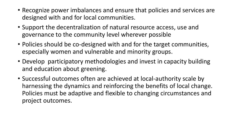- Recognize power imbalances and ensure that policies and services are designed with and for local communities.
- Support the decentralization of natural resource access, use and governance to the community level wherever possible
- Policies should be co-designed with and for the target communities, especially women and vulnerable and minority groups.
- Develop participatory methodologies and invest in capacity building and education about greening.
- Successful outcomes often are achieved at local-authority scale by harnessing the dynamics and reinforcing the benefits of local change. Policies must be adaptive and flexible to changing circumstances and project outcomes.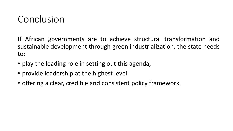## Conclusion

If African governments are to achieve structural transformation and sustainable development through green industrialization, the state needs to:

- play the leading role in setting out this agenda,
- provide leadership at the highest level
- offering a clear, credible and consistent policy framework.